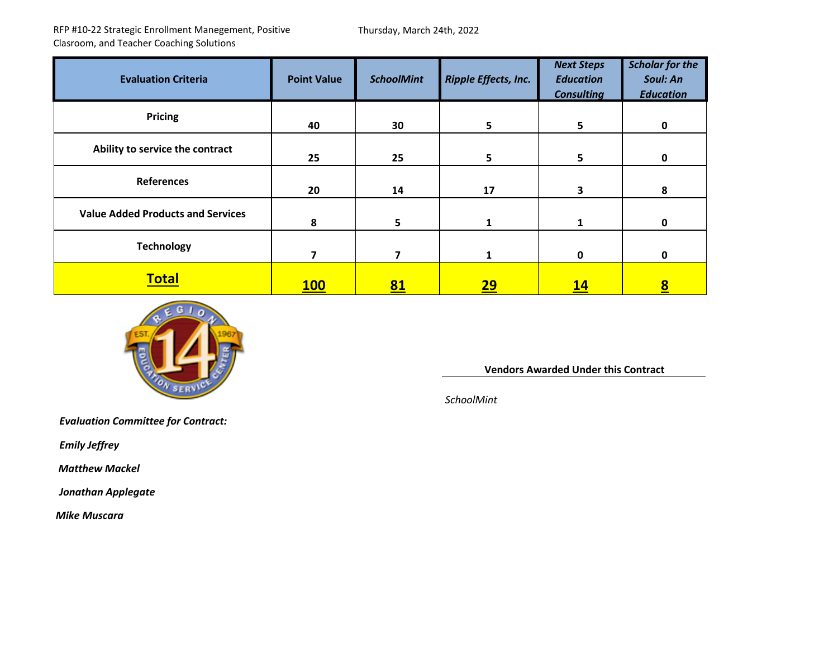RFP #10‐22 Strategic Enrollment Manegement, Positive Clasroom, and Teacher Coaching Solutions

Thursday, March 24th, 2022

| <b>Evaluation Criteria</b>               | <b>Point Value</b> | <b>SchoolMint</b> | <b>Ripple Effects, Inc.</b> | <b>Next Steps</b><br><b>Education</b><br><b>Consulting</b> | <b>Scholar for the</b><br>Soul: An<br><b>Education</b> |
|------------------------------------------|--------------------|-------------------|-----------------------------|------------------------------------------------------------|--------------------------------------------------------|
| Pricing                                  | 40                 | 30                | $\overline{\mathbf{5}}$     | 5                                                          | 0                                                      |
| Ability to service the contract          | 25                 | 25                | $5\phantom{.0}$             | 5                                                          | 0                                                      |
| <b>References</b>                        | 20                 | 14                | 17                          | 3                                                          | 8                                                      |
| <b>Value Added Products and Services</b> | 8                  | 5                 | 1                           | 1                                                          | 0                                                      |
| <b>Technology</b>                        | 7                  | 7                 | 1                           | $\mathbf 0$                                                | 0                                                      |
| <b>Total</b>                             | <b>100</b>         | <u>81</u>         | <u> 29 </u>                 | <u> 14</u>                                                 | $\underline{\underline{8}}$                            |



**Vendors Awarded Under this Contract**

*SchoolMint*

*Evaluation Committee for Contract:*

*Emily Jeffrey*

*Matthew Mackel*

*Jonathan Applegate*

*Mike Muscara*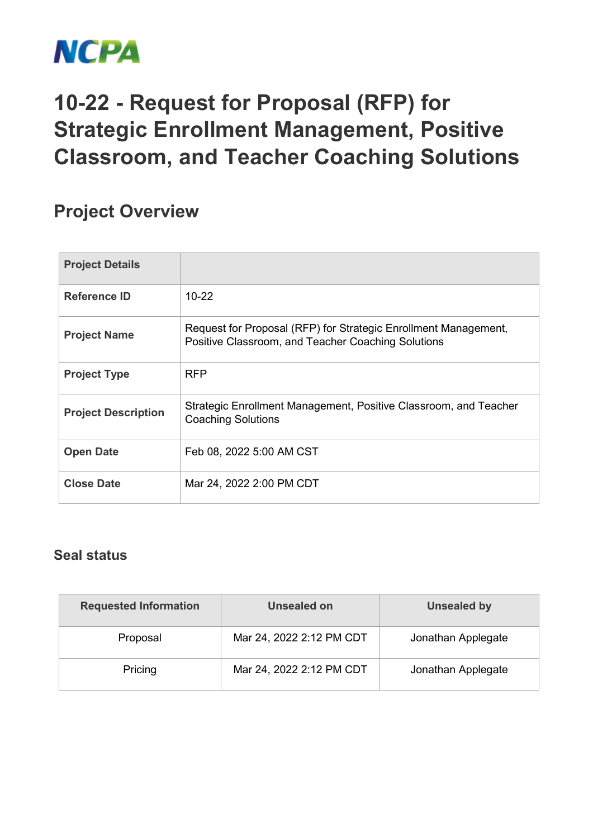

## **10-22 - Request for Proposal (RFP) for Strategic Enrollment Management, Positive Classroom, and Teacher Coaching Solutions**

## **Project Overview**

| <b>Project Details</b>     |                                                                                                                       |
|----------------------------|-----------------------------------------------------------------------------------------------------------------------|
| <b>Reference ID</b>        | $10 - 22$                                                                                                             |
| <b>Project Name</b>        | Request for Proposal (RFP) for Strategic Enrollment Management,<br>Positive Classroom, and Teacher Coaching Solutions |
| <b>Project Type</b>        | <b>RFP</b>                                                                                                            |
| <b>Project Description</b> | Strategic Enrollment Management, Positive Classroom, and Teacher<br><b>Coaching Solutions</b>                         |
| <b>Open Date</b>           | Feb 08, 2022 5:00 AM CST                                                                                              |
| <b>Close Date</b>          | Mar 24, 2022 2:00 PM CDT                                                                                              |

## **Seal status**

| <b>Requested Information</b> | Unsealed on              | Unsealed by        |  |
|------------------------------|--------------------------|--------------------|--|
| Proposal                     | Mar 24, 2022 2:12 PM CDT | Jonathan Applegate |  |
| Pricing                      | Mar 24, 2022 2:12 PM CDT | Jonathan Applegate |  |